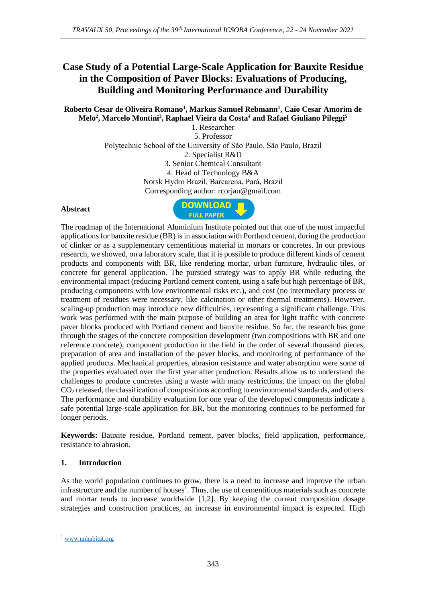# **Case Study of a Potential Large-Scale Application for Bauxite Residue in the Composition of Paver Blocks: Evaluations of Producing, Building and Monitoring Performance and Durability**

**Roberto Cesar de Oliveira Romano<sup>1</sup> , Markus Samuel Rebmann<sup>1</sup> , Caio Cesar Amorim de Melo<sup>2</sup> , Marcelo Montini<sup>3</sup> , Raphael Vieira da Costa<sup>4</sup> and Rafael Giuliano Pileggi<sup>5</sup>**

1. Researcher 5. Professor Polytechnic School of the University of São Paulo, São Paulo, Brazil 2. Specialist R&D 3. Senior Chemical Consultant 4. Head of Technology B&A Norsk Hydro Brazil, Barcarena, Pará, Brazil Corresponding author: rcorjau@gmail.com

### **Abstract**



The roadmap of the International Aluminium Institute pointed out that one of the most impactful applications for bauxite residue (BR) is in association with Portland cement, during the production of clinker or as a supplementary cementitious material in mortars or concretes. In our previous research, we showed, on a laboratory scale, that it is possible to produce different kinds of cement products and components with BR, like rendering mortar, urban furniture, hydraulic tiles, or concrete for general application. The pursued strategy was to apply BR while reducing the environmental impact (reducing Portland cement content, using a safe but high percentage of BR, producing components with low environmental risks etc.), and cost (no intermediary process or treatment of residues were necessary, like calcination or other thermal treatments). However, scaling-up production may introduce new difficulties, representing a significant challenge. This work was performed with the main purpose of building an area for light traffic with concrete paver blocks produced with Portland cement and bauxite residue. So far, the research has gone through the stages of the concrete composition development (two compositions with BR and one reference concrete), component production in the field in the order of several thousand pieces, preparation of area and installation of the paver blocks, and monitoring of performance of the applied products. Mechanical properties, abrasion resistance and water absorption were some of the properties evaluated over the first year after production. Results allow us to understand the challenges to produce concretes using a waste with many restrictions, the impact on the global CO<sub>2</sub> released, the classification of compositions according to environmental standards, and others. The performance and durability evaluation for one year of the developed components indicate a safe potential large-scale application for BR, but the monitoring continues to be performed for longer periods.

**Keywords:** Bauxite residue, Portland cement, paver blocks, field application, performance, resistance to abrasion.

### **1. Introduction**

As the world population continues to grow, there is a need to increase and improve the urban infrastructure and the number of houses<sup>1</sup>. Thus, the use of cementitious materials such as concrete and mortar tends to increase worldwide [1,2]. By keeping the current composition dosage strategies and construction practices, an increase in environmental impact is expected. High

<sup>1</sup> [www.unhabitat.org](http://www.unhabitat.org/)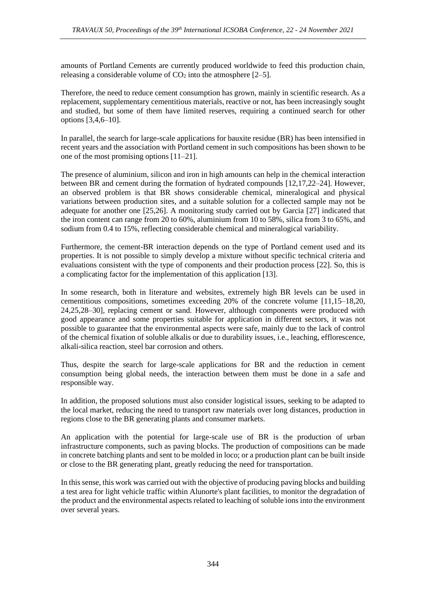amounts of Portland Cements are currently produced worldwide to feed this production chain, releasing a considerable volume of  $CO<sub>2</sub>$  into the atmosphere [2–5].

Therefore, the need to reduce cement consumption has grown, mainly in scientific research. As a replacement, supplementary cementitious materials, reactive or not, has been increasingly sought and studied, but some of them have limited reserves, requiring a continued search for other options [3,4,6–10].

In parallel, the search for large-scale applications for bauxite residue (BR) has been intensified in recent years and the association with Portland cement in such compositions has been shown to be one of the most promising options [11–21].

The presence of aluminium, silicon and iron in high amounts can help in the chemical interaction between BR and cement during the formation of hydrated compounds [12,17,22–24]. However, an observed problem is that BR shows considerable chemical, mineralogical and physical variations between production sites, and a suitable solution for a collected sample may not be adequate for another one [25,26]. A monitoring study carried out by Garcia [27] indicated that the iron content can range from 20 to 60%, aluminium from 10 to 58%, silica from 3 to 65%, and sodium from 0.4 to 15%, reflecting considerable chemical and mineralogical variability.

Furthermore, the cement-BR interaction depends on the type of Portland cement used and its properties. It is not possible to simply develop a mixture without specific technical criteria and evaluations consistent with the type of components and their production process [22]. So, this is a complicating factor for the implementation of this application [13].

In some research, both in literature and websites, extremely high BR levels can be used in cementitious compositions, sometimes exceeding 20% of the concrete volume [11,15–18,20, 24,25,28–30], replacing cement or sand. However, although components were produced with good appearance and some properties suitable for application in different sectors, it was not possible to guarantee that the environmental aspects were safe, mainly due to the lack of control of the chemical fixation of soluble alkalis or due to durability issues, i.e., leaching, efflorescence, alkali-silica reaction, steel bar corrosion and others.

Thus, despite the search for large-scale applications for BR and the reduction in cement consumption being global needs, the interaction between them must be done in a safe and responsible way.

In addition, the proposed solutions must also consider logistical issues, seeking to be adapted to the local market, reducing the need to transport raw materials over long distances, production in regions close to the BR generating plants and consumer markets.

An application with the potential for large-scale use of BR is the production of urban infrastructure components, such as paving blocks. The production of compositions can be made in concrete batching plants and sent to be molded in loco; or a production plant can be built inside or close to the BR generating plant, greatly reducing the need for transportation.

In this sense, this work was carried out with the objective of producing paving blocks and building a test area for light vehicle traffic within Alunorte's plant facilities, to monitor the degradation of the product and the environmental aspects related to leaching of soluble ions into the environment over several years.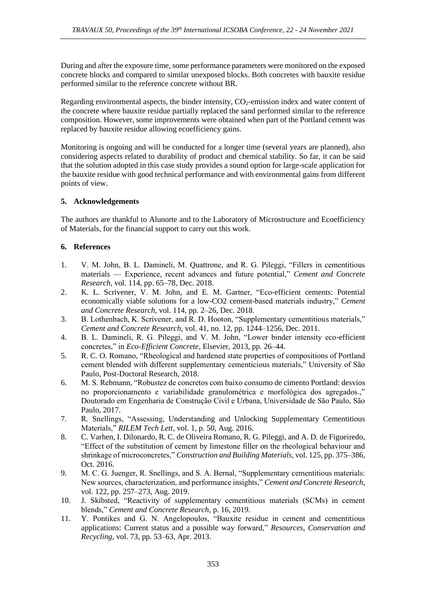During and after the exposure time, some performance parameters were monitored on the exposed concrete blocks and compared to similar unexposed blocks. Both concretes with bauxite residue performed similar to the reference concrete without BR.

Regarding environmental aspects, the binder intensity,  $CO<sub>2</sub>$ -emission index and water content of the concrete where bauxite residue partially replaced the sand performed similar to the reference composition. However, some improvements were obtained when part of the Portland cement was replaced by bauxite residue allowing ecoefficiency gains.

Monitoring is ongoing and will be conducted for a longer time (several years are planned), also considering aspects related to durability of product and chemical stability. So far, it can be said that the solution adopted in this case study provides a sound option for large-scale application for the bauxite residue with good technical performance and with environmental gains from different points of view.

# **5. Acknowledgements**

The authors are thankful to Alunorte and to the Laboratory of Microstructure and Ecoefficiency of Materials, for the financial support to carry out this work.

# **6. References**

- 1. V. M. John, B. L. Damineli, M. Quattrone, and R. G. Pileggi, "Fillers in cementitious materials — Experience, recent advances and future potential," *Cement and Concrete Research*, vol. 114, pp. 65–78, Dec. 2018.
- 2. K. L. Scrivener, V. M. John, and E. M. Gartner, "Eco-efficient cements: Potential economically viable solutions for a low-CO2 cement-based materials industry," *Cement and Concrete Research*, vol. 114, pp. 2–26, Dec. 2018.
- 3. B. Lothenbach, K. Scrivener, and R. D. Hooton, "Supplementary cementitious materials," *Cement and Concrete Research*, vol. 41, no. 12, pp. 1244–1256, Dec. 2011.
- 4. B. L. Damineli, R. G. Pileggi, and V. M. John, "Lower binder intensity eco-efficient concretes," in *Eco-Efficient Concrete*, Elsevier, 2013, pp. 26–44.
- 5. R. C. O. Romano, "Rheological and hardened state properties of compositions of Portland cement blended with different supplementary cementicious materials," University of São Paulo, Post-Doctoral Research, 2018.
- 6. M. S. Rebmann, "Robustez de concretos com baixo consumo de cimento Portland: desvios no proporcionamento e variabilidade granulométrica e morfológica dos agregados.," Doutorado em Engenharia de Construção Civil e Urbana, Universidade de São Paulo, São Paulo, 2017.
- 7. R. Snellings, "Assessing, Understanding and Unlocking Supplementary Cementitious Materials," *RILEM Tech Lett*, vol. 1, p. 50, Aug. 2016.
- 8. C. Varhen, I. Dilonardo, R. C. de Oliveira Romano, R. G. Pileggi, and A. D. de Figueiredo, "Effect of the substitution of cement by limestone filler on the rheological behaviour and shrinkage of microconcretes," *Construction and Building Materials*, vol. 125, pp. 375–386, Oct. 2016.
- 9. M. C. G. Juenger, R. Snellings, and S. A. Bernal, "Supplementary cementitious materials: New sources, characterization, and performance insights," *Cement and Concrete Research*, vol. 122, pp. 257–273, Aug. 2019.
- 10. J. Skibsted, "Reactivity of supplementary cementitious materials (SCMs) in cement blends," *Cement and Concrete Research*, p. 16, 2019.
- 11. Y. Pontikes and G. N. Angelopoulos, "Bauxite residue in cement and cementitious applications: Current status and a possible way forward," *Resources, Conservation and Recycling*, vol. 73, pp. 53–63, Apr. 2013.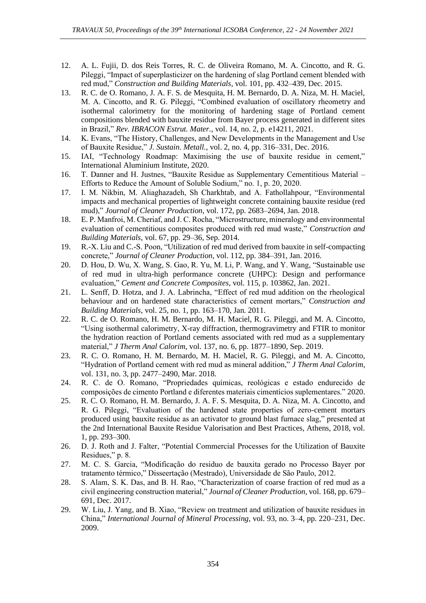- 12. A. L. Fujii, D. dos Reis Torres, R. C. de Oliveira Romano, M. A. Cincotto, and R. G. Pileggi, "Impact of superplasticizer on the hardening of slag Portland cement blended with red mud," *Construction and Building Materials*, vol. 101, pp. 432–439, Dec. 2015.
- 13. R. C. de O. Romano, J. A. F. S. de Mesquita, H. M. Bernardo, D. A. Niza, M. H. Maciel, M. A. Cincotto, and R. G. Pileggi, "Combined evaluation of oscillatory rheometry and isothermal calorimetry for the monitoring of hardening stage of Portland cement compositions blended with bauxite residue from Bayer process generated in different sites in Brazil," *Rev. IBRACON Estrut. Mater.*, vol. 14, no. 2, p. e14211, 2021.
- 14. K. Evans, "The History, Challenges, and New Developments in the Management and Use of Bauxite Residue," *J. Sustain. Metall.*, vol. 2, no. 4, pp. 316–331, Dec. 2016.
- 15. IAI, "Technology Roadmap: Maximising the use of bauxite residue in cement," International Aluminium Institute, 2020.
- 16. T. Danner and H. Justnes, "Bauxite Residue as Supplementary Cementitious Material Efforts to Reduce the Amount of Soluble Sodium," no. 1, p. 20, 2020.
- 17. I. M. Nikbin, M. Aliaghazadeh, Sh Charkhtab, and A. Fathollahpour, "Environmental impacts and mechanical properties of lightweight concrete containing bauxite residue (red mud)," *Journal of Cleaner Production*, vol. 172, pp. 2683–2694, Jan. 2018.
- 18. E. P. Manfroi, M. Cheriaf, and J. C. Rocha, "Microstructure, mineralogy and environmental evaluation of cementitious composites produced with red mud waste," *Construction and Building Materials*, vol. 67, pp. 29–36, Sep. 2014.
- 19. R.-X. Liu and C.-S. Poon, "Utilization of red mud derived from bauxite in self-compacting concrete," *Journal of Cleaner Production*, vol. 112, pp. 384–391, Jan. 2016.
- 20. D. Hou, D. Wu, X. Wang, S. Gao, R. Yu, M. Li, P. Wang, and Y. Wang, "Sustainable use of red mud in ultra-high performance concrete (UHPC): Design and performance evaluation," *Cement and Concrete Composites*, vol. 115, p. 103862, Jan. 2021.
- 21. L. Senff, D. Hotza, and J. A. Labrincha, "Effect of red mud addition on the rheological behaviour and on hardened state characteristics of cement mortars," *Construction and Building Materials*, vol. 25, no. 1, pp. 163–170, Jan. 2011.
- 22. R. C. de O. Romano, H. M. Bernardo, M. H. Maciel, R. G. Pileggi, and M. A. Cincotto, "Using isothermal calorimetry, X-ray diffraction, thermogravimetry and FTIR to monitor the hydration reaction of Portland cements associated with red mud as a supplementary material," *J Therm Anal Calorim*, vol. 137, no. 6, pp. 1877–1890, Sep. 2019.
- 23. R. C. O. Romano, H. M. Bernardo, M. H. Maciel, R. G. Pileggi, and M. A. Cincotto, "Hydration of Portland cement with red mud as mineral addition," *J Therm Anal Calorim*, vol. 131, no. 3, pp. 2477–2490, Mar. 2018.
- 24. R. C. de O. Romano, "Propriedades químicas, reológicas e estado endurecido de composições de cimento Portland e diferentes materiais cimentícios suplementares." 2020.
- 25. R. C. O. Romano, H. M. Bernardo, J. A. F. S. Mesquita, D. A. Niza, M. A. Cincotto, and R. G. Pileggi, "Evaluation of the hardened state properties of zero-cement mortars produced using bauxite residue as an activator to ground blast furnace slag," presented at the 2nd International Bauxite Residue Valorisation and Best Practices, Athens, 2018, vol. 1, pp. 293–300.
- 26. D. J. Roth and J. Falter, "Potential Commercial Processes for the Utilization of Bauxite Residues," p. 8.
- 27. M. C. S. Garcia, "Modificação do residuo de bauxita gerado no Processo Bayer por tratamento térmico," Disseertação (Mestrado), Universidade de São Paulo, 2012.
- 28. S. Alam, S. K. Das, and B. H. Rao, "Characterization of coarse fraction of red mud as a civil engineering construction material," *Journal of Cleaner Production*, vol. 168, pp. 679– 691, Dec. 2017.
- 29. W. Liu, J. Yang, and B. Xiao, "Review on treatment and utilization of bauxite residues in China," *International Journal of Mineral Processing*, vol. 93, no. 3–4, pp. 220–231, Dec. 2009.